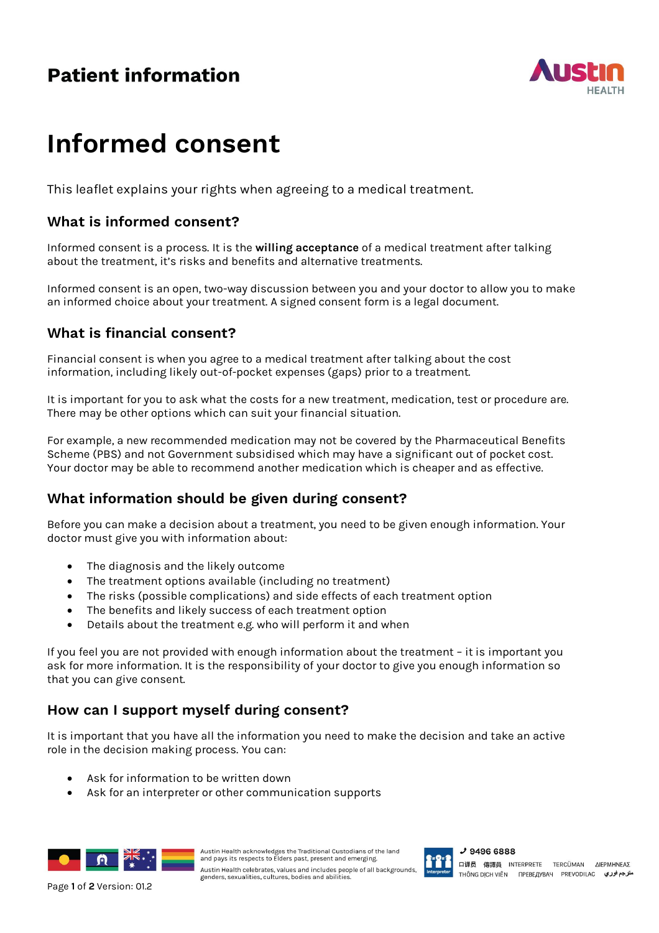# **Patient information**



# **Informed consent**

This leaflet explains your rights when agreeing to a medical treatment.

# **What is informed consent?**

Informed consent is a process. It is the **willing acceptance** of a medical treatment after talking about the treatment, it's risks and benefits and alternative treatments.

Informed consent is an open, two-way discussion between you and your doctor to allow you to make an informed choice about your treatment. A signed consent form is a legal document.

# **What is financial consent?**

Financial consent is when you agree to a medical treatment after talking about the cost information, including likely out-of-pocket expenses (gaps) prior to a treatment.

It is important for you to ask what the costs for a new treatment, medication, test or procedure are. There may be other options which can suit your financial situation.

For example, a new recommended medication may not be covered by the Pharmaceutical Benefits Scheme (PBS) and not Government subsidised which may have a significant out of pocket cost. Your doctor may be able to recommend another medication which is cheaper and as effective.

# **What information should be given during consent?**

Before you can make a decision about a treatment, you need to be given enough information. Your doctor must give you with information about:

- The diagnosis and the likely outcome
- The treatment options available (including no treatment)
- The risks (possible complications) and side effects of each treatment option
- The benefits and likely success of each treatment option
- Details about the treatment e.g. who will perform it and when

If you feel you are not provided with enough information about the treatment – it is important you ask for more information. It is the responsibility of your doctor to give you enough information so that you can give consent.

# **How can I support myself during consent?**

It is important that you have all the information you need to make the decision and take an active role in the decision making process. You can:

- Ask for information to be written down
- Ask for an interpreter or other communication supports



Austin Health acknowledges the Traditional Custodians of the land<br>and pays its respects to Elders past, present and emerging. Austin Health celebrates, values and includes people of all backgrounds,<br>Page 1 of 2 Version: 01.2